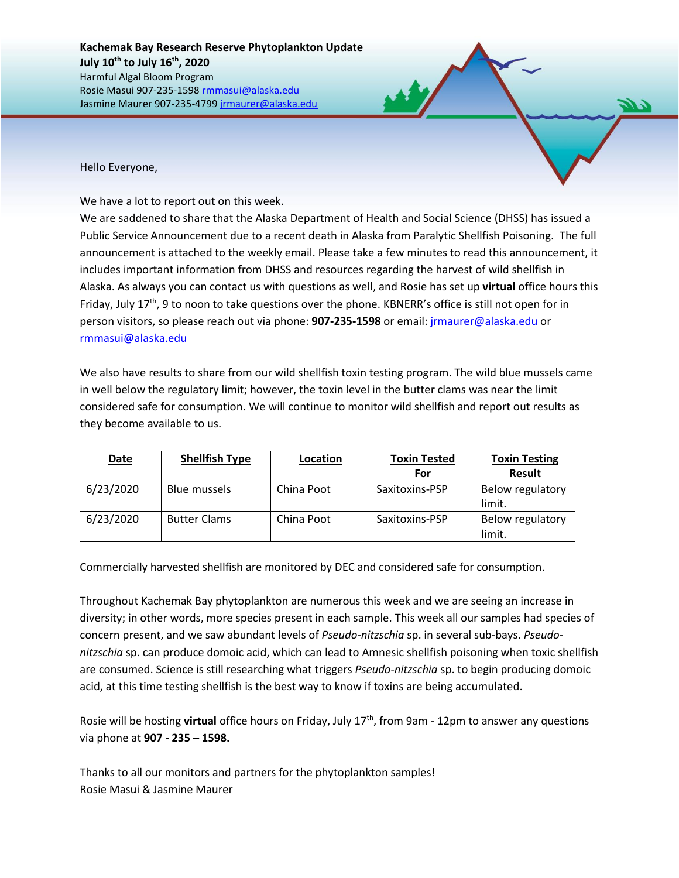Hello Everyone,

We have a lot to report out on this week.

We are saddened to share that the Alaska Department of Health and Social Science (DHSS) has issued a Public Service Announcement due to a recent death in Alaska from Paralytic Shellfish Poisoning. The full announcement is attached to the weekly email. Please take a few minutes to read this announcement, it includes important information from DHSS and resources regarding the harvest of wild shellfish in Alaska. As always you can contact us with questions as well, and Rosie has set up **virtual** office hours this Friday, July  $17<sup>th</sup>$ , 9 to noon to take questions over the phone. KBNERR's office is still not open for in person visitors, so please reach out via phone: **907-235-1598** or email: [jrmaurer@alaska.edu](mailto:jrmaurer@alaska.edu) or [rmmasui@alaska.edu](mailto:rmmasui@alaska.edu)

We also have results to share from our wild shellfish toxin testing program. The wild blue mussels came in well below the regulatory limit; however, the toxin level in the butter clams was near the limit considered safe for consumption. We will continue to monitor wild shellfish and report out results as they become available to us.

| <b>Date</b> | <b>Shellfish Type</b> | Location   | <b>Toxin Tested</b> | <b>Toxin Testing</b>       |
|-------------|-----------------------|------------|---------------------|----------------------------|
|             |                       |            | For                 | <b>Result</b>              |
| 6/23/2020   | <b>Blue mussels</b>   | China Poot | Saxitoxins-PSP      | Below regulatory<br>limit. |
| 6/23/2020   | <b>Butter Clams</b>   | China Poot | Saxitoxins-PSP      | Below regulatory<br>limit. |

Commercially harvested shellfish are monitored by DEC and considered safe for consumption.

Throughout Kachemak Bay phytoplankton are numerous this week and we are seeing an increase in diversity; in other words, more species present in each sample. This week all our samples had species of concern present, and we saw abundant levels of *Pseudo-nitzschia* sp. in several sub-bays. *Pseudonitzschia* sp. can produce domoic acid, which can lead to Amnesic shellfish poisoning when toxic shellfish are consumed. Science is still researching what triggers *Pseudo-nitzschia* sp. to begin producing domoic acid, at this time testing shellfish is the best way to know if toxins are being accumulated.

Rosie will be hosting **virtual** office hours on Friday, July 17<sup>th</sup>, from 9am - 12pm to answer any questions via phone at **907 - 235 – 1598.** 

Thanks to all our monitors and partners for the phytoplankton samples! Rosie Masui & Jasmine Maurer